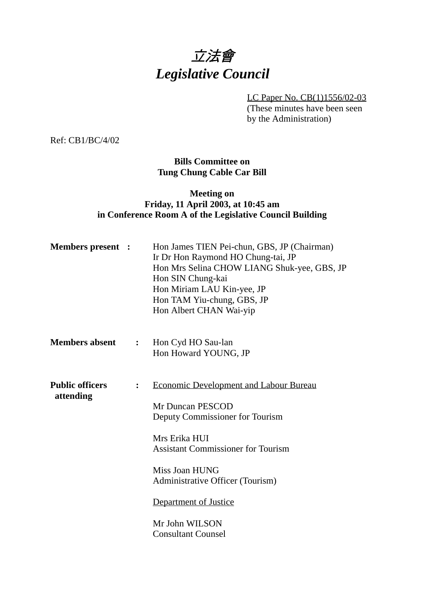# 立法會 *Legislative Council*

LC Paper No. CB(1)1556/02-03

(These minutes have been seen by the Administration)

Ref: CB1/BC/4/02

## **Bills Committee on Tung Chung Cable Car Bill**

### **Meeting on Friday, 11 April 2003, at 10:45 am in Conference Room A of the Legislative Council Building**

| <b>Members present :</b>            |                  | Hon James TIEN Pei-chun, GBS, JP (Chairman)<br>Ir Dr Hon Raymond HO Chung-tai, JP<br>Hon Mrs Selina CHOW LIANG Shuk-yee, GBS, JP<br>Hon SIN Chung-kai<br>Hon Miriam LAU Kin-yee, JP<br>Hon TAM Yiu-chung, GBS, JP<br>Hon Albert CHAN Wai-yip                                                     |
|-------------------------------------|------------------|--------------------------------------------------------------------------------------------------------------------------------------------------------------------------------------------------------------------------------------------------------------------------------------------------|
| <b>Members absent</b>               | $\ddot{\bullet}$ | Hon Cyd HO Sau-lan<br>Hon Howard YOUNG, JP                                                                                                                                                                                                                                                       |
| <b>Public officers</b><br>attending | $\ddot{\cdot}$   | <b>Economic Development and Labour Bureau</b><br>Mr Duncan PESCOD<br>Deputy Commissioner for Tourism<br>Mrs Erika HUI<br><b>Assistant Commissioner for Tourism</b><br>Miss Joan HUNG<br>Administrative Officer (Tourism)<br>Department of Justice<br>Mr John WILSON<br><b>Consultant Counsel</b> |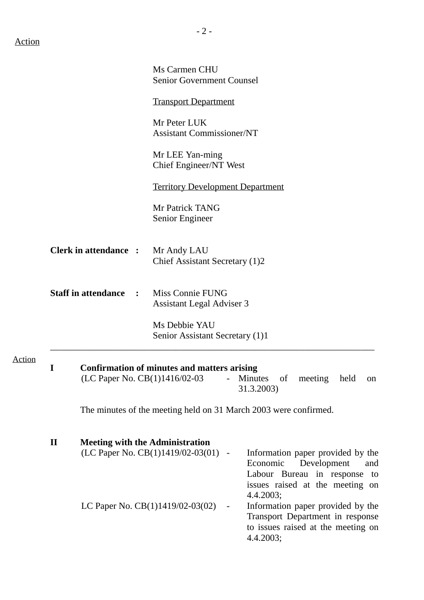|                                              |                              |                                                             | Ms Carmen CHU<br><b>Senior Government Counsel</b>                                                                                                                                                                                          |  |  |  |
|----------------------------------------------|------------------------------|-------------------------------------------------------------|--------------------------------------------------------------------------------------------------------------------------------------------------------------------------------------------------------------------------------------------|--|--|--|
|                                              |                              |                                                             | <b>Transport Department</b>                                                                                                                                                                                                                |  |  |  |
|                                              |                              |                                                             | Mr Peter LUK<br><b>Assistant Commissioner/NT</b>                                                                                                                                                                                           |  |  |  |
|                                              |                              |                                                             | Mr LEE Yan-ming<br>Chief Engineer/NT West                                                                                                                                                                                                  |  |  |  |
|                                              |                              |                                                             | <b>Territory Development Department</b>                                                                                                                                                                                                    |  |  |  |
|                                              |                              |                                                             | Mr Patrick TANG<br>Senior Engineer                                                                                                                                                                                                         |  |  |  |
|                                              | <b>Clerk in attendance :</b> |                                                             | Mr Andy LAU<br>Chief Assistant Secretary (1)2                                                                                                                                                                                              |  |  |  |
| <b>Staff in attendance</b><br>$\ddot{\cdot}$ |                              | <b>Miss Connie FUNG</b><br><b>Assistant Legal Adviser 3</b> |                                                                                                                                                                                                                                            |  |  |  |
|                                              |                              |                                                             | Ms Debbie YAU<br>Senior Assistant Secretary (1)1                                                                                                                                                                                           |  |  |  |
| <b>Action</b>                                | I                            |                                                             | <b>Confirmation of minutes and matters arising</b><br>(LC Paper No. CB(1)1416/02-03<br>Minutes<br>of<br>meeting<br>held<br>on<br>$\blacksquare$<br>31.3.2003)                                                                              |  |  |  |
|                                              |                              |                                                             | The minutes of the meeting held on 31 March 2003 were confirmed.                                                                                                                                                                           |  |  |  |
|                                              | $\mathbf{I}$                 |                                                             | <b>Meeting with the Administration</b><br>(LC Paper No. CB(1)1419/02-03(01) -<br>Information paper provided by the<br>Economic<br>Development<br>and<br>Labour Bureau in response to                                                       |  |  |  |
|                                              |                              |                                                             | issues raised at the meeting on<br>4.4.2003;<br>LC Paper No. $CB(1)1419/02-03(02)$<br>Information paper provided by the<br>$\overline{\phantom{a}}$<br>Transport Department in response<br>to issues raised at the meeting on<br>4.4.2003; |  |  |  |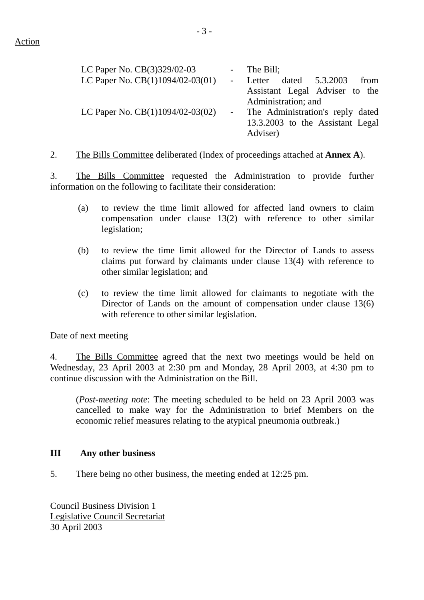| LC Paper No. CB(3)329/02-03        | - The Bill;                      |
|------------------------------------|----------------------------------|
| LC Paper No. CB(1)1094/02-03(01)   | Letter dated 5.3.2003<br>from    |
|                                    | Assistant Legal Adviser to the   |
|                                    | Administration; and              |
| LC Paper No. $CB(1)1094/02-03(02)$ | The Administration's reply dated |
|                                    | 13.3.2003 to the Assistant Legal |
|                                    | Adviser)                         |

2. The Bills Committee deliberated (Index of proceedings attached at **Annex A**).

3. The Bills Committee requested the Administration to provide further information on the following to facilitate their consideration:

- (a) to review the time limit allowed for affected land owners to claim compensation under clause 13(2) with reference to other similar legislation;
- (b) to review the time limit allowed for the Director of Lands to assess claims put forward by claimants under clause 13(4) with reference to other similar legislation; and
- (c) to review the time limit allowed for claimants to negotiate with the Director of Lands on the amount of compensation under clause 13(6) with reference to other similar legislation.

Date of next meeting

4. The Bills Committee agreed that the next two meetings would be held on Wednesday, 23 April 2003 at 2:30 pm and Monday, 28 April 2003, at 4:30 pm to continue discussion with the Administration on the Bill.

(*Post-meeting note*: The meeting scheduled to be held on 23 April 2003 was cancelled to make way for the Administration to brief Members on the economic relief measures relating to the atypical pneumonia outbreak.)

#### **III Any other business**

5. There being no other business, the meeting ended at 12:25 pm.

Council Business Division 1 Legislative Council Secretariat 30 April 2003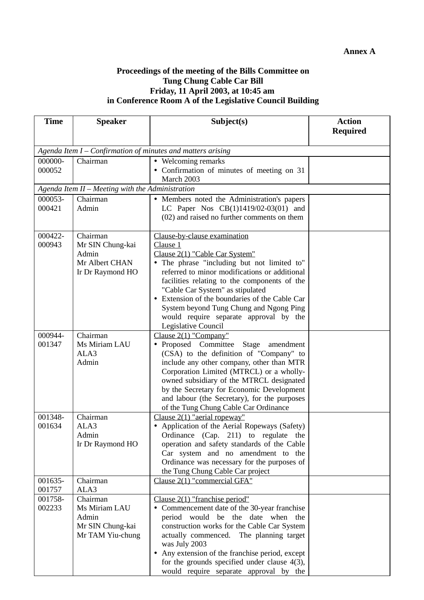#### **Proceedings of the meeting of the Bills Committee on Tung Chung Cable Car Bill Friday, 11 April 2003, at 10:45 am in Conference Room A of the Legislative Council Building**

| <b>Time</b>       | <b>Speaker</b>                                              | Subject(s)                                                                           | <b>Action</b>   |  |
|-------------------|-------------------------------------------------------------|--------------------------------------------------------------------------------------|-----------------|--|
|                   |                                                             |                                                                                      | <b>Required</b> |  |
|                   | Agenda Item I – Confirmation of minutes and matters arising |                                                                                      |                 |  |
| 000000-           | Chairman                                                    | • Welcoming remarks                                                                  |                 |  |
| 000052            |                                                             | • Confirmation of minutes of meeting on 31                                           |                 |  |
|                   |                                                             | March 2003                                                                           |                 |  |
|                   | Agenda Item II - Meeting with the Administration            |                                                                                      |                 |  |
| 000053-           | Chairman                                                    | • Members noted the Administration's papers                                          |                 |  |
| 000421            | Admin                                                       | LC Paper Nos $CB(1)1419/02-03(01)$ and                                               |                 |  |
|                   |                                                             | (02) and raised no further comments on them                                          |                 |  |
| 000422-           | Chairman                                                    | Clause-by-clause examination                                                         |                 |  |
| 000943            | Mr SIN Chung-kai                                            | Clause 1                                                                             |                 |  |
|                   | Admin                                                       | Clause 2(1) "Cable Car System"                                                       |                 |  |
|                   | Mr Albert CHAN                                              | • The phrase "including but not limited to"                                          |                 |  |
|                   | Ir Dr Raymond HO                                            | referred to minor modifications or additional                                        |                 |  |
|                   |                                                             | facilities relating to the components of the                                         |                 |  |
|                   |                                                             | "Cable Car System" as stipulated                                                     |                 |  |
|                   |                                                             | Extension of the boundaries of the Cable Car                                         |                 |  |
|                   |                                                             | System beyond Tung Chung and Ngong Ping                                              |                 |  |
|                   |                                                             | would require separate approval by the                                               |                 |  |
|                   |                                                             | Legislative Council                                                                  |                 |  |
| 000944-           | Chairman                                                    | Clause $2(1)$ "Company"                                                              |                 |  |
| 001347            | Ms Miriam LAU<br>ALA3                                       | · Proposed Committee Stage amendment                                                 |                 |  |
|                   | Admin                                                       | (CSA) to the definition of "Company" to<br>include any other company, other than MTR |                 |  |
|                   |                                                             | Corporation Limited (MTRCL) or a wholly-                                             |                 |  |
|                   |                                                             | owned subsidiary of the MTRCL designated                                             |                 |  |
|                   |                                                             | by the Secretary for Economic Development                                            |                 |  |
|                   |                                                             | and labour (the Secretary), for the purposes                                         |                 |  |
|                   |                                                             | of the Tung Chung Cable Car Ordinance                                                |                 |  |
| 001348-           | Chairman                                                    | Clause $2(1)$ "aerial ropeway"                                                       |                 |  |
| 001634            | ALA3                                                        | • Application of the Aerial Ropeways (Safety)                                        |                 |  |
|                   | Admin                                                       | Ordinance (Cap. 211) to regulate the                                                 |                 |  |
|                   | Ir Dr Raymond HO                                            | operation and safety standards of the Cable                                          |                 |  |
|                   |                                                             | Car system and no amendment to the                                                   |                 |  |
|                   |                                                             | Ordinance was necessary for the purposes of                                          |                 |  |
|                   |                                                             | the Tung Chung Cable Car project                                                     |                 |  |
| 001635-<br>001757 | Chairman<br>ALA3                                            | Clause 2(1) "commercial GFA"                                                         |                 |  |
| 001758-           | Chairman                                                    | Clause $2(1)$ "franchise period"                                                     |                 |  |
| 002233            | Ms Miriam LAU                                               | • Commencement date of the 30-year franchise                                         |                 |  |
|                   | Admin                                                       | period would be the date when the                                                    |                 |  |
|                   | Mr SIN Chung-kai                                            | construction works for the Cable Car System                                          |                 |  |
|                   | Mr TAM Yiu-chung                                            | actually commenced. The planning target                                              |                 |  |
|                   |                                                             | was July 2003                                                                        |                 |  |
|                   |                                                             | • Any extension of the franchise period, except                                      |                 |  |
|                   |                                                             | for the grounds specified under clause $4(3)$ ,                                      |                 |  |
|                   |                                                             | would require separate approval by the                                               |                 |  |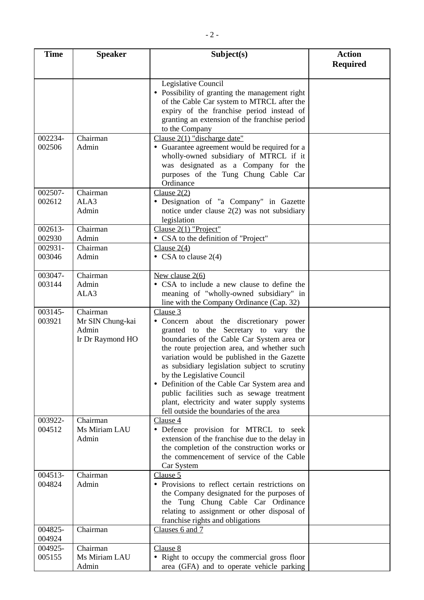| <b>Time</b>       | <b>Speaker</b>            | Subject(s)                                                                                         | <b>Action</b>   |
|-------------------|---------------------------|----------------------------------------------------------------------------------------------------|-----------------|
|                   |                           |                                                                                                    | <b>Required</b> |
|                   |                           | Legislative Council                                                                                |                 |
|                   |                           | • Possibility of granting the management right<br>of the Cable Car system to MTRCL after the       |                 |
|                   |                           | expiry of the franchise period instead of                                                          |                 |
|                   |                           | granting an extension of the franchise period                                                      |                 |
|                   |                           | to the Company                                                                                     |                 |
| 002234-           | Chairman                  | Clause $2(1)$ "discharge date"                                                                     |                 |
| 002506            | Admin                     | Guarantee agreement would be required for a<br>$\bullet$<br>wholly-owned subsidiary of MTRCL if it |                 |
|                   |                           | was designated as a Company for the                                                                |                 |
|                   |                           | purposes of the Tung Chung Cable Car                                                               |                 |
|                   |                           | Ordinance                                                                                          |                 |
| 002507-           | Chairman                  | Clause $2(2)$                                                                                      |                 |
| 002612            | ALA3<br>Admin             | · Designation of "a Company" in Gazette<br>notice under clause $2(2)$ was not subsidiary           |                 |
|                   |                           | legislation                                                                                        |                 |
| 002613-           | Chairman                  | Clause 2(1) "Project"                                                                              |                 |
| 002930            | Admin                     | • CSA to the definition of "Project"                                                               |                 |
| 002931-           | Chairman                  | Clause $2(4)$                                                                                      |                 |
| 003046            | Admin                     | • CSA to clause $2(4)$                                                                             |                 |
| 003047-           | Chairman                  | New clause $2(6)$                                                                                  |                 |
| 003144            | Admin                     | • CSA to include a new clause to define the                                                        |                 |
|                   | ALA3                      | meaning of "wholly-owned subsidiary" in                                                            |                 |
| 003145-           | Chairman                  | line with the Company Ordinance (Cap. 32)<br>Clause 3                                              |                 |
| 003921            | Mr SIN Chung-kai          | • Concern about the discretionary power                                                            |                 |
|                   | Admin                     | granted to the Secretary to vary the                                                               |                 |
|                   | Ir Dr Raymond HO          | boundaries of the Cable Car System area or                                                         |                 |
|                   |                           | the route projection area, and whether such                                                        |                 |
|                   |                           | variation would be published in the Gazette<br>as subsidiary legislation subject to scrutiny       |                 |
|                   |                           | by the Legislative Council                                                                         |                 |
|                   |                           | • Definition of the Cable Car System area and                                                      |                 |
|                   |                           | public facilities such as sewage treatment                                                         |                 |
|                   |                           | plant, electricity and water supply systems<br>fell outside the boundaries of the area             |                 |
| 003922-           | Chairman                  | Clause 4                                                                                           |                 |
| 004512            | Ms Miriam LAU             | • Defence provision for MTRCL to seek                                                              |                 |
|                   | Admin                     | extension of the franchise due to the delay in                                                     |                 |
|                   |                           | the completion of the construction works or                                                        |                 |
|                   |                           | the commencement of service of the Cable<br>Car System                                             |                 |
| 004513-           | Chairman                  | Clause 5                                                                                           |                 |
| 004824            | Admin                     | • Provisions to reflect certain restrictions on                                                    |                 |
|                   |                           | the Company designated for the purposes of                                                         |                 |
|                   |                           | the Tung Chung Cable Car Ordinance<br>relating to assignment or other disposal of                  |                 |
|                   |                           | franchise rights and obligations                                                                   |                 |
| 004825-           | Chairman                  | Clauses 6 and 7                                                                                    |                 |
| 004924            |                           |                                                                                                    |                 |
| 004925-<br>005155 | Chairman<br>Ms Miriam LAU | Clause 8                                                                                           |                 |
|                   | Admin                     | • Right to occupy the commercial gross floor<br>area (GFA) and to operate vehicle parking          |                 |